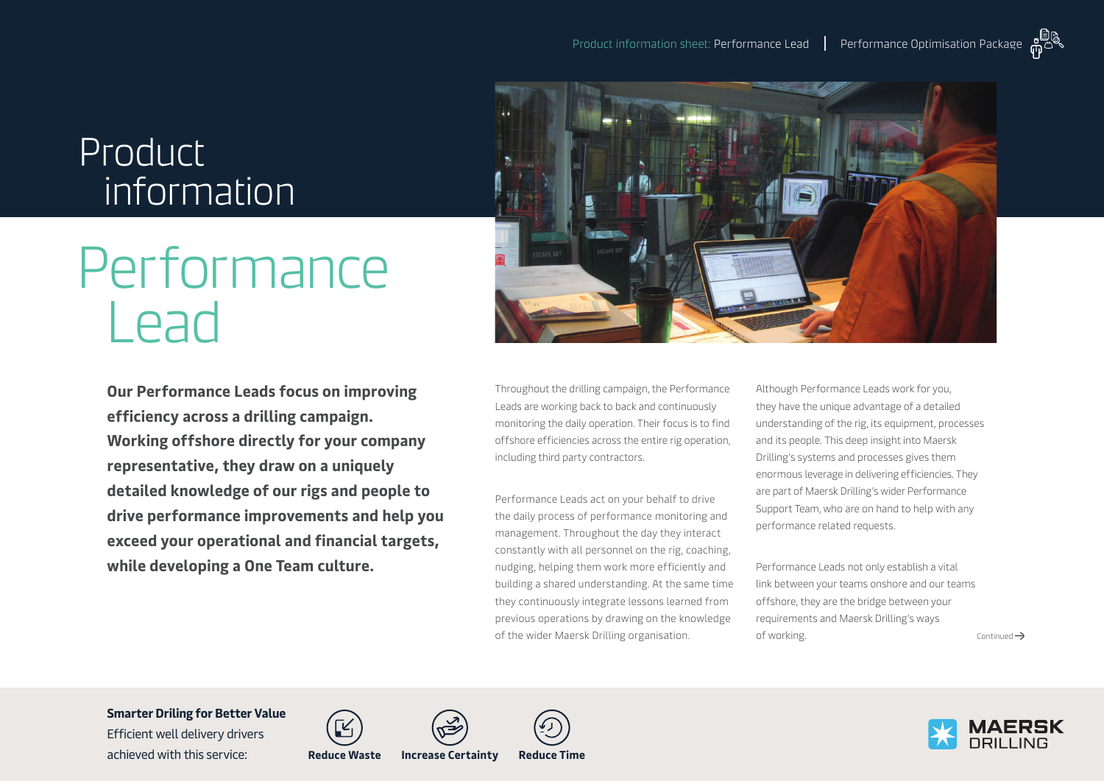# Product information

# **Performance** Lead

**Our Performance Leads focus on improving efficiency across a drilling campaign. Working offshore directly for your company representative, they draw on a uniquely detailed knowledge of our rigs and people to drive performance improvements and help you exceed your operational and financial targets, while developing a One Team culture.** 



Throughout the drilling campaign, the Performance Leads are working back to back and continuously monitoring the daily operation. Their focus is to find offshore efficiencies across the entire rig operation, including third party contractors.

Performance Leads act on your behalf to drive the daily process of performance monitoring and management. Throughout the day they interact constantly with all personnel on the rig, coaching, nudging, helping them work more efficiently and building a shared understanding. At the same time they continuously integrate lessons learned from previous operations by drawing on the knowledge of the wider Maersk Drilling organisation.

Although Performance Leads work for you, they have the unique advantage of a detailed understanding of the rig, its equipment, processes and its people. This deep insight into Maersk Drilling's systems and processes gives them enormous leverage in delivering efficiencies. They are part of Maersk Drilling's wider Performance Support Team, who are on hand to help with any performance related requests.

Performance Leads not only establish a vital link between your teams onshore and our teams offshore, they are the bridge between your requirements and Maersk Drilling's ways  $\sigma$  of working.  $\sigma$  and  $\sigma$  are  $\sigma$  and  $\sigma$  are  $\sigma$  are  $\sigma$  and  $\sigma$ 

**Smarter Driling for Better Value**  Efficient well delivery drivers

achieved with this service: **Reduce Waste Increase Certainty Reduce Time**